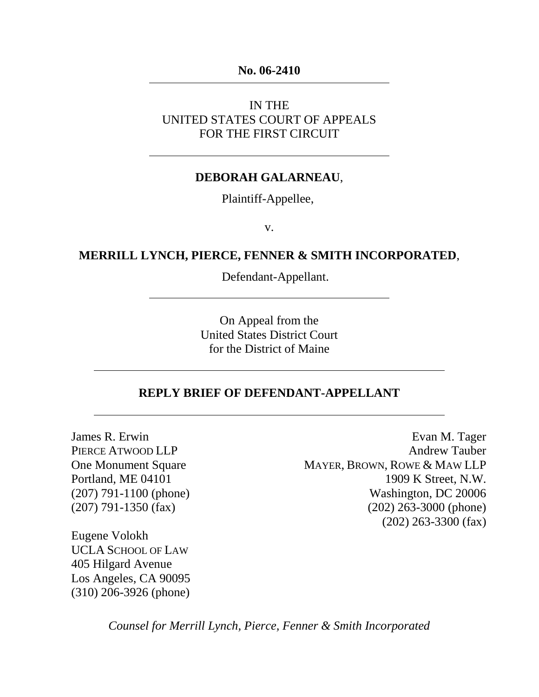#### **No. 06-2410**

### IN THE UNITED STATES COURT OF APPEALS FOR THE FIRST CIRCUIT

#### **DEBORAH GALARNEAU**,

Plaintiff-Appellee,

v.

### **MERRILL LYNCH, PIERCE, FENNER & SMITH INCORPORATED**,

Defendant-Appellant.

On Appeal from the United States District Court for the District of Maine

#### **REPLY BRIEF OF DEFENDANT-APPELLANT**

James R. Erwin PIERCE ATWOOD LLP One Monument Square Portland, ME 04101 (207) 791-1100 (phone) (207) 791-1350 (fax)

Evan M. Tager Andrew Tauber MAYER, BROWN, ROWE & MAW LLP 1909 K Street, N.W. Washington, DC 20006 (202) 263-3000 (phone) (202) 263-3300 (fax)

Eugene Volokh UCLA SCHOOL OF LAW 405 Hilgard Avenue Los Angeles, CA 90095 (310) 206-3926 (phone)

*Counsel for Merrill Lynch, Pierce, Fenner & Smith Incorporated*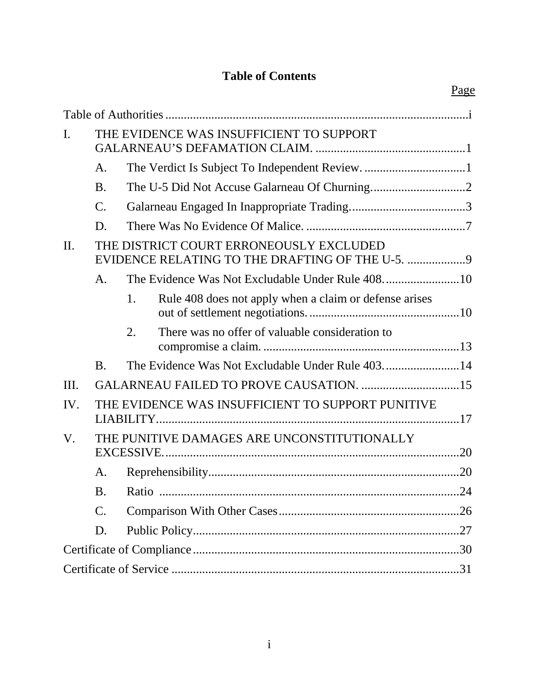## **Table of Contents**

| I.      | THE EVIDENCE WAS INSUFFICIENT TO SUPPORT                                                   |    |                                                        |  |  |  |
|---------|--------------------------------------------------------------------------------------------|----|--------------------------------------------------------|--|--|--|
|         | A.                                                                                         |    |                                                        |  |  |  |
|         | <b>B.</b>                                                                                  |    |                                                        |  |  |  |
|         | $\mathcal{C}$ .                                                                            |    |                                                        |  |  |  |
|         | D.                                                                                         |    |                                                        |  |  |  |
| $\Pi$ . | THE DISTRICT COURT ERRONEOUSLY EXCLUDED<br>EVIDENCE RELATING TO THE DRAFTING OF THE U-5. 9 |    |                                                        |  |  |  |
|         | A.                                                                                         |    |                                                        |  |  |  |
|         |                                                                                            | 1. | Rule 408 does not apply when a claim or defense arises |  |  |  |
|         |                                                                                            | 2. | There was no offer of valuable consideration to        |  |  |  |
|         | <b>B.</b>                                                                                  |    | The Evidence Was Not Excludable Under Rule 40314       |  |  |  |
| Ш.      |                                                                                            |    |                                                        |  |  |  |
| IV.     |                                                                                            |    | THE EVIDENCE WAS INSUFFICIENT TO SUPPORT PUNITIVE      |  |  |  |
| V.      | THE PUNITIVE DAMAGES ARE UNCONSTITUTIONALLY                                                |    |                                                        |  |  |  |
|         | А.                                                                                         |    |                                                        |  |  |  |
|         | <b>B.</b>                                                                                  |    |                                                        |  |  |  |
|         | C.                                                                                         |    |                                                        |  |  |  |
|         | D.                                                                                         |    |                                                        |  |  |  |
|         |                                                                                            |    |                                                        |  |  |  |
|         |                                                                                            |    |                                                        |  |  |  |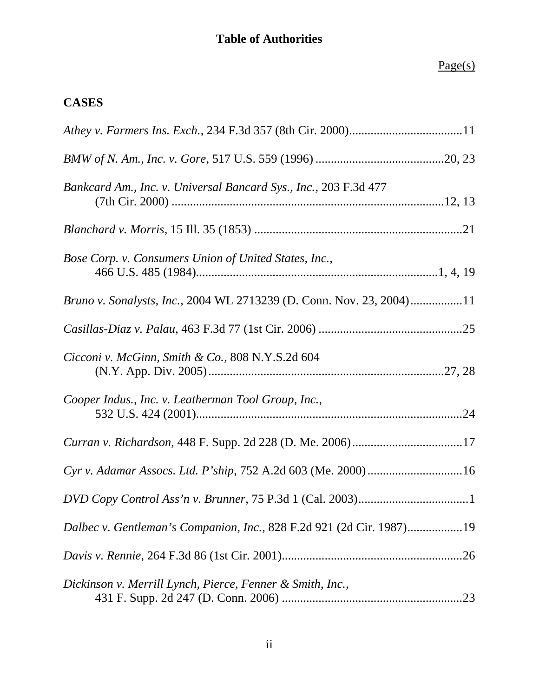## **Table of Authorities**

## Page(s)

## **CASES**

| Bankcard Am., Inc. v. Universal Bancard Sys., Inc., 203 F.3d 477     |
|----------------------------------------------------------------------|
|                                                                      |
| Bose Corp. v. Consumers Union of United States, Inc.,                |
| Bruno v. Sonalysts, Inc., 2004 WL 2713239 (D. Conn. Nov. 23, 2004)11 |
|                                                                      |
| Cicconi v. McGinn, Smith & Co., $808$ N.Y.S.2d $604$                 |
| Cooper Indus., Inc. v. Leatherman Tool Group, Inc.,                  |
|                                                                      |
| Cyr v. Adamar Assocs. Ltd. P'ship, 752 A.2d 603 (Me. 2000)16         |
|                                                                      |
| Dalbec v. Gentleman's Companion, Inc., 828 F.2d 921 (2d Cir. 1987)19 |
|                                                                      |
| Dickinson v. Merrill Lynch, Pierce, Fenner & Smith, Inc.,            |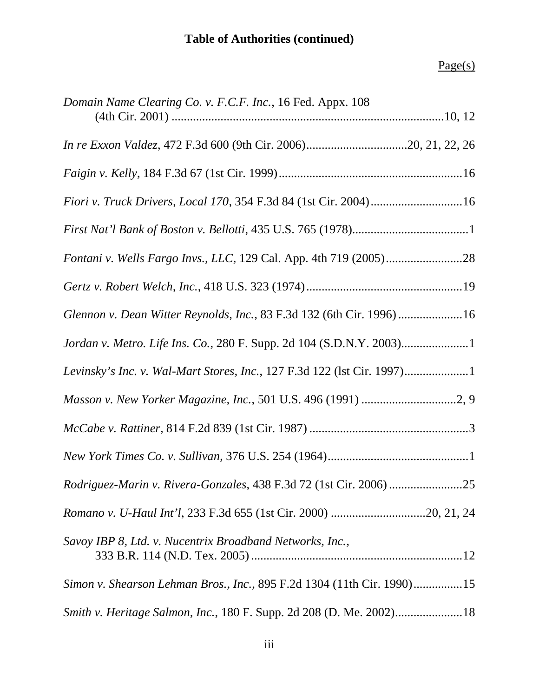# **Table of Authorities (continued)**

# Page(s)

| Domain Name Clearing Co. v. F.C.F. Inc., 16 Fed. Appx. 108              |  |
|-------------------------------------------------------------------------|--|
|                                                                         |  |
|                                                                         |  |
|                                                                         |  |
|                                                                         |  |
|                                                                         |  |
|                                                                         |  |
| Glennon v. Dean Witter Reynolds, Inc., 83 F.3d 132 (6th Cir. 1996) 16   |  |
| Jordan v. Metro. Life Ins. Co., 280 F. Supp. 2d 104 (S.D.N.Y. 2003)1    |  |
| Levinsky's Inc. v. Wal-Mart Stores, Inc., 127 F.3d 122 (1st Cir. 1997)1 |  |
|                                                                         |  |
|                                                                         |  |
|                                                                         |  |
| Rodriguez-Marin v. Rivera-Gonzales, 438 F.3d 72 (1st Cir. 2006) 25      |  |
|                                                                         |  |
| Savoy IBP 8, Ltd. v. Nucentrix Broadband Networks, Inc.,                |  |
| Simon v. Shearson Lehman Bros., Inc., 895 F.2d 1304 (11th Cir. 1990)15  |  |
| Smith v. Heritage Salmon, Inc., 180 F. Supp. 2d 208 (D. Me. 2002)18     |  |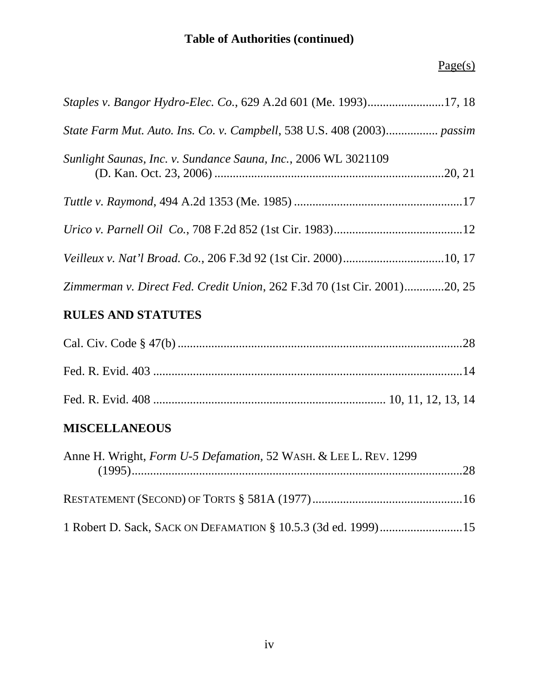# **Table of Authorities (continued)**

## Page(s)

| Staples v. Bangor Hydro-Elec. Co., 629 A.2d 601 (Me. 1993)17, 18         |  |
|--------------------------------------------------------------------------|--|
| State Farm Mut. Auto. Ins. Co. v. Campbell, 538 U.S. 408 (2003) passim   |  |
| Sunlight Saunas, Inc. v. Sundance Sauna, Inc., 2006 WL 3021109           |  |
|                                                                          |  |
|                                                                          |  |
|                                                                          |  |
| Zimmerman v. Direct Fed. Credit Union, 262 F.3d 70 (1st Cir. 2001)20, 25 |  |

## **RULES AND STATUTES**

## **MISCELLANEOUS**

| Anne H. Wright, <i>Form U-5 Defamation</i> , 52 WASH. & LEE L. REV. 1299 |  |
|--------------------------------------------------------------------------|--|
|                                                                          |  |
| 1 Robert D. Sack, SACK ON DEFAMATION § 10.5.3 (3d ed. 1999)15            |  |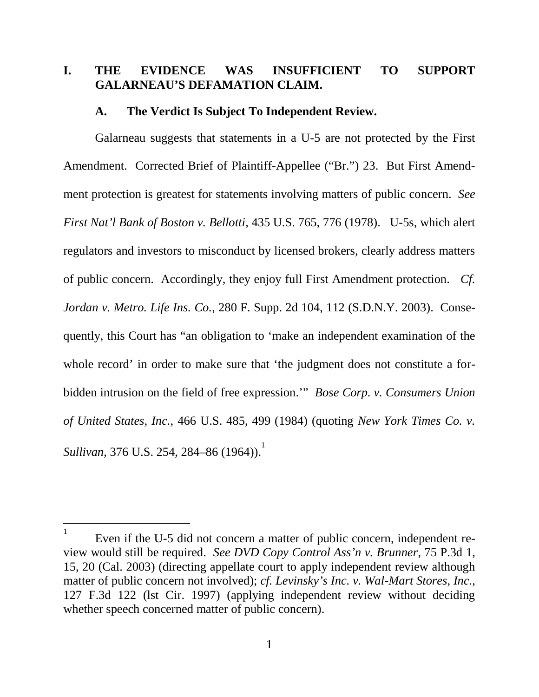## <span id="page-5-0"></span>**I. THE EVIDENCE WAS INSUFFICIENT TO SUPPORT GALARNEAU'S DEFAMATION CLAIM.**

#### <span id="page-5-1"></span>**A. The Verdict Is Subject To Independent Review.**

Galarneau suggests that statements in a U-5 are not protected by the First Amendment. Corrected Brief of Plaintiff-Appellee ("Br.") 23. But First Amendment protection is greatest for statements involving matters of public concern. *See First Nat'l Bank of Boston v. Bellotti*, 435 U.S. 765, 776 (1978). U-5s, which alert regulators and investors to misconduct by licensed brokers, clearly address matters of public concern. Accordingly, they enjoy full First Amendment protection. *Cf. Jordan v. Metro. Life Ins. Co.*, 280 F. Supp. 2d 104, 112 (S.D.N.Y. 2003). Consequently, this Court has "an obligation to 'make an independent examination of the whole record' in order to make sure that 'the judgment does not constitute a forbidden intrusion on the field of free expression.'" *Bose Corp. v. Consumers Union of United States, Inc.*, 466 U.S. 485, 499 (1984) (quoting *New York Times Co. v. Sullivan*, 376 U.S. 254, 284–86 ([1](#page-5-2)964)).<sup>1</sup>

<span id="page-5-2"></span><sup>1</sup> Even if the U-5 did not concern a matter of public concern, independent review would still be required. *See DVD Copy Control Ass'n v. Brunner*, 75 P.3d 1, 15, 20 (Cal. 2003) (directing appellate court to apply independent review although matter of public concern not involved); *cf. Levinsky's Inc. v. Wal-Mart Stores, Inc.*, 127 F.3d 122 (lst Cir. 1997) (applying independent review without deciding whether speech concerned matter of public concern).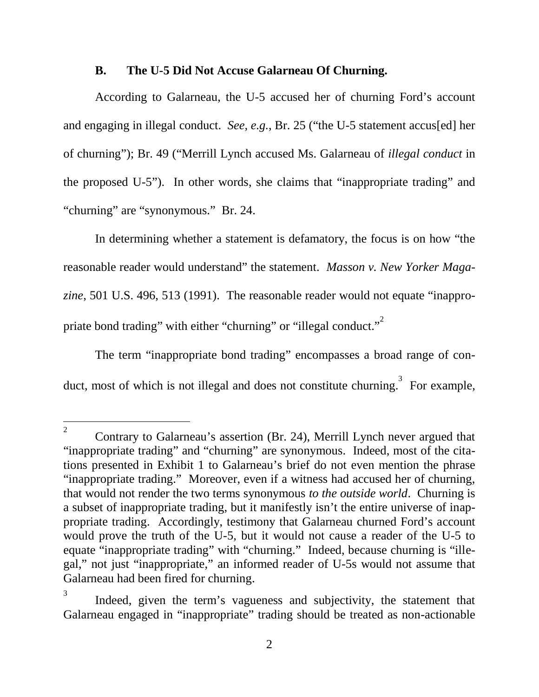#### <span id="page-6-0"></span>**B. The U-5 Did Not Accuse Galarneau Of Churning.**

According to Galarneau, the U-5 accused her of churning Ford's account and engaging in illegal conduct. *See, e.g.*, Br. 25 ("the U-5 statement accus[ed] her of churning"); Br. 49 ("Merrill Lynch accused Ms. Galarneau of *illegal conduct* in the proposed U-5"). In other words, she claims that "inappropriate trading" and "churning" are "synonymous." Br. 24.

In determining whether a statement is defamatory, the focus is on how "the reasonable reader would understand" the statement. *Masson v. New Yorker Magazine*, 501 U.S. 496, 513 (1991). The reasonable reader would not equate "inappro-priate bond trading" with either "churning" or "illegal conduct."<sup>[2](#page-6-1)</sup>

The term "inappropriate bond trading" encompasses a broad range of con-duct, most of which is not illegal and does not constitute churning.<sup>[3](#page-6-2)</sup> For example,

<span id="page-6-1"></span><sup>2</sup> Contrary to Galarneau's assertion (Br. 24), Merrill Lynch never argued that "inappropriate trading" and "churning" are synonymous. Indeed, most of the citations presented in Exhibit 1 to Galarneau's brief do not even mention the phrase "inappropriate trading." Moreover, even if a witness had accused her of churning, that would not render the two terms synonymous *to the outside world*. Churning is a subset of inappropriate trading, but it manifestly isn't the entire universe of inappropriate trading. Accordingly, testimony that Galarneau churned Ford's account would prove the truth of the U-5, but it would not cause a reader of the U-5 to equate "inappropriate trading" with "churning." Indeed, because churning is "illegal," not just "inappropriate," an informed reader of U-5s would not assume that Galarneau had been fired for churning.

<span id="page-6-2"></span><sup>3</sup> Indeed, given the term's vagueness and subjectivity, the statement that Galarneau engaged in "inappropriate" trading should be treated as non-actionable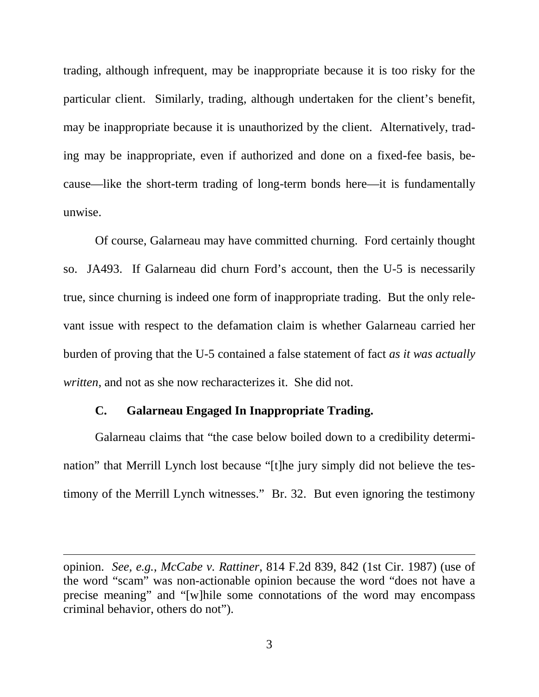trading, although infrequent, may be inappropriate because it is too risky for the particular client. Similarly, trading, although undertaken for the client's benefit, may be inappropriate because it is unauthorized by the client. Alternatively, trading may be inappropriate, even if authorized and done on a fixed-fee basis, because—like the short-term trading of long-term bonds here—it is fundamentally unwise.

Of course, Galarneau may have committed churning. Ford certainly thought so. JA493. If Galarneau did churn Ford's account, then the U-5 is necessarily true, since churning is indeed one form of inappropriate trading. But the only relevant issue with respect to the defamation claim is whether Galarneau carried her burden of proving that the U-5 contained a false statement of fact *as it was actually written*, and not as she now recharacterizes it. She did not.

#### <span id="page-7-0"></span>**C. Galarneau Engaged In Inappropriate Trading.**

Galarneau claims that "the case below boiled down to a credibility determination" that Merrill Lynch lost because "[t]he jury simply did not believe the testimony of the Merrill Lynch witnesses." Br. 32. But even ignoring the testimony

opinion. *See, e.g.*, *McCabe v. Rattiner*, 814 F.2d 839, 842 (1st Cir. 1987) (use of the word "scam" was non-actionable opinion because the word "does not have a precise meaning" and "[w]hile some connotations of the word may encompass criminal behavior, others do not").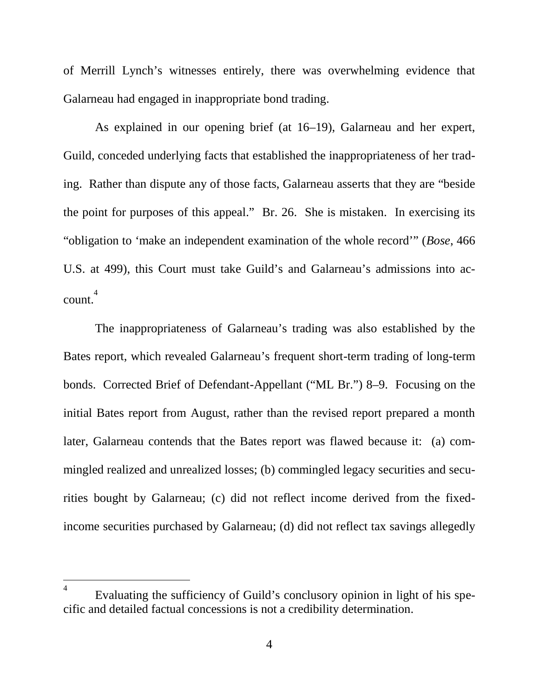of Merrill Lynch's witnesses entirely, there was overwhelming evidence that Galarneau had engaged in inappropriate bond trading.

As explained in our opening brief (at 16–19), Galarneau and her expert, Guild, conceded underlying facts that established the inappropriateness of her trading. Rather than dispute any of those facts, Galarneau asserts that they are "beside the point for purposes of this appeal." Br. 26. She is mistaken. In exercising its "obligation to 'make an independent examination of the whole record'" (*Bose*, 466 U.S. at 499), this Court must take Guild's and Galarneau's admissions into account. [4](#page-8-0)

The inappropriateness of Galarneau's trading was also established by the Bates report, which revealed Galarneau's frequent short-term trading of long-term bonds. Corrected Brief of Defendant-Appellant ("ML Br.") 8–9. Focusing on the initial Bates report from August, rather than the revised report prepared a month later, Galarneau contends that the Bates report was flawed because it: (a) commingled realized and unrealized losses; (b) commingled legacy securities and securities bought by Galarneau; (c) did not reflect income derived from the fixedincome securities purchased by Galarneau; (d) did not reflect tax savings allegedly

<span id="page-8-0"></span><sup>4</sup> Evaluating the sufficiency of Guild's conclusory opinion in light of his specific and detailed factual concessions is not a credibility determination.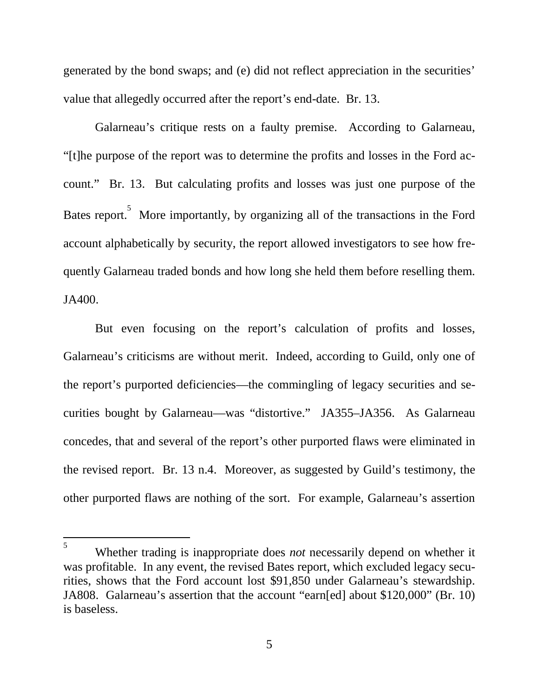generated by the bond swaps; and (e) did not reflect appreciation in the securities' value that allegedly occurred after the report's end-date. Br. 13.

Galarneau's critique rests on a faulty premise. According to Galarneau, "[t]he purpose of the report was to determine the profits and losses in the Ford account." Br. 13. But calculating profits and losses was just one purpose of the Bates report.<sup>[5](#page-9-0)</sup> More importantly, by organizing all of the transactions in the Ford account alphabetically by security, the report allowed investigators to see how frequently Galarneau traded bonds and how long she held them before reselling them. JA400.

But even focusing on the report's calculation of profits and losses, Galarneau's criticisms are without merit. Indeed, according to Guild, only one of the report's purported deficiencies—the commingling of legacy securities and securities bought by Galarneau—was "distortive." JA355–JA356. As Galarneau concedes, that and several of the report's other purported flaws were eliminated in the revised report. Br. 13 n.4. Moreover, as suggested by Guild's testimony, the other purported flaws are nothing of the sort. For example, Galarneau's assertion

<span id="page-9-0"></span><sup>5</sup> Whether trading is inappropriate does *not* necessarily depend on whether it was profitable. In any event, the revised Bates report, which excluded legacy securities, shows that the Ford account lost \$91,850 under Galarneau's stewardship. JA808. Galarneau's assertion that the account "earn[ed] about \$120,000" (Br. 10) is baseless.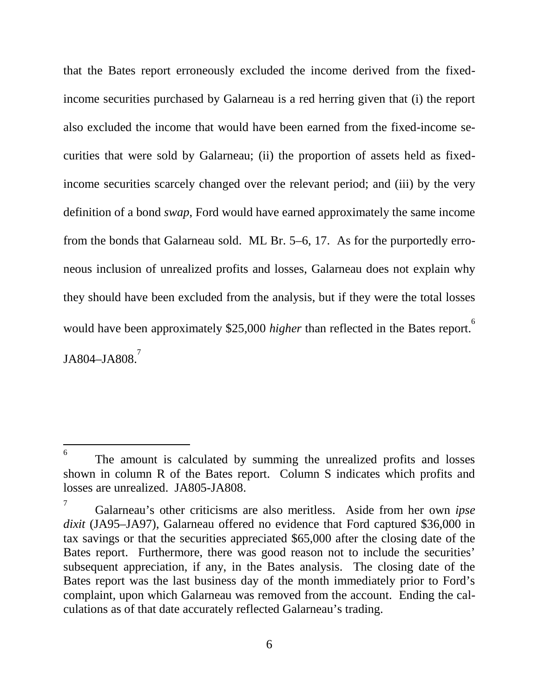that the Bates report erroneously excluded the income derived from the fixedincome securities purchased by Galarneau is a red herring given that (i) the report also excluded the income that would have been earned from the fixed-income securities that were sold by Galarneau; (ii) the proportion of assets held as fixedincome securities scarcely changed over the relevant period; and (iii) by the very definition of a bond *swap*, Ford would have earned approximately the same income from the bonds that Galarneau sold. ML Br. 5–6, 17. As for the purportedly erroneous inclusion of unrealized profits and losses, Galarneau does not explain why they should have been excluded from the analysis, but if they were the total losses would have been approximately \$25,000 *higher* than reflected in the Bates report.<sup>[6](#page-10-0)</sup> JA804–JA808.<sup>[7](#page-10-1)</sup>

<span id="page-10-0"></span><sup>6</sup> The amount is calculated by summing the unrealized profits and losses shown in column R of the Bates report. Column S indicates which profits and losses are unrealized. JA805-JA808.

<span id="page-10-1"></span><sup>7</sup> Galarneau's other criticisms are also meritless. Aside from her own *ipse dixit* (JA95–JA97), Galarneau offered no evidence that Ford captured \$36,000 in tax savings or that the securities appreciated \$65,000 after the closing date of the Bates report. Furthermore, there was good reason not to include the securities' subsequent appreciation, if any, in the Bates analysis. The closing date of the Bates report was the last business day of the month immediately prior to Ford's complaint, upon which Galarneau was removed from the account. Ending the calculations as of that date accurately reflected Galarneau's trading.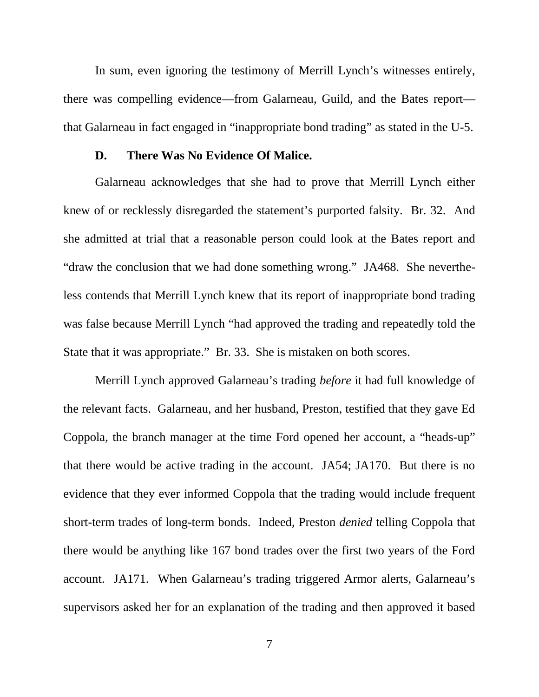In sum, even ignoring the testimony of Merrill Lynch's witnesses entirely, there was compelling evidence—from Galarneau, Guild, and the Bates report that Galarneau in fact engaged in "inappropriate bond trading" as stated in the U-5.

#### <span id="page-11-0"></span>**D. There Was No Evidence Of Malice.**

Galarneau acknowledges that she had to prove that Merrill Lynch either knew of or recklessly disregarded the statement's purported falsity. Br. 32. And she admitted at trial that a reasonable person could look at the Bates report and "draw the conclusion that we had done something wrong." JA468. She nevertheless contends that Merrill Lynch knew that its report of inappropriate bond trading was false because Merrill Lynch "had approved the trading and repeatedly told the State that it was appropriate." Br. 33. She is mistaken on both scores.

Merrill Lynch approved Galarneau's trading *before* it had full knowledge of the relevant facts. Galarneau, and her husband, Preston, testified that they gave Ed Coppola, the branch manager at the time Ford opened her account, a "heads-up" that there would be active trading in the account. JA54; JA170. But there is no evidence that they ever informed Coppola that the trading would include frequent short-term trades of long-term bonds. Indeed, Preston *denied* telling Coppola that there would be anything like 167 bond trades over the first two years of the Ford account. JA171. When Galarneau's trading triggered Armor alerts, Galarneau's supervisors asked her for an explanation of the trading and then approved it based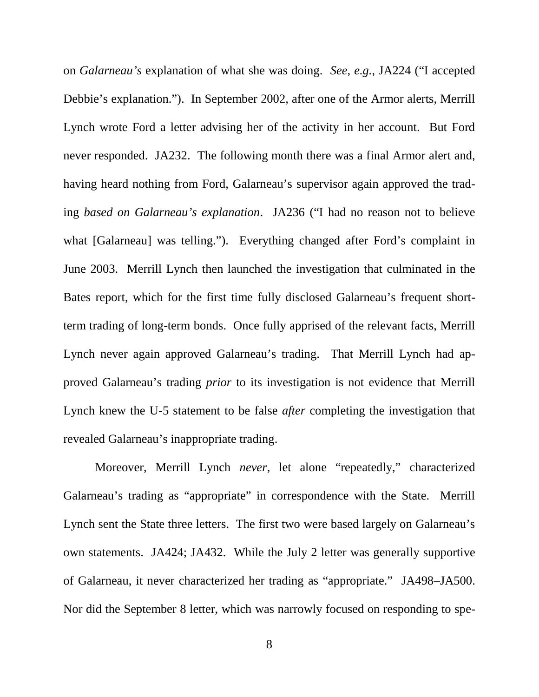on *Galarneau's* explanation of what she was doing. *See, e.g.*, JA224 ("I accepted Debbie's explanation."). In September 2002, after one of the Armor alerts, Merrill Lynch wrote Ford a letter advising her of the activity in her account. But Ford never responded. JA232. The following month there was a final Armor alert and, having heard nothing from Ford, Galarneau's supervisor again approved the trading *based on Galarneau's explanation*. JA236 ("I had no reason not to believe what [Galarneau] was telling."). Everything changed after Ford's complaint in June 2003. Merrill Lynch then launched the investigation that culminated in the Bates report, which for the first time fully disclosed Galarneau's frequent shortterm trading of long-term bonds. Once fully apprised of the relevant facts, Merrill Lynch never again approved Galarneau's trading. That Merrill Lynch had approved Galarneau's trading *prior* to its investigation is not evidence that Merrill Lynch knew the U-5 statement to be false *after* completing the investigation that revealed Galarneau's inappropriate trading.

Moreover, Merrill Lynch *never*, let alone "repeatedly," characterized Galarneau's trading as "appropriate" in correspondence with the State. Merrill Lynch sent the State three letters. The first two were based largely on Galarneau's own statements. JA424; JA432. While the July 2 letter was generally supportive of Galarneau, it never characterized her trading as "appropriate." JA498–JA500. Nor did the September 8 letter, which was narrowly focused on responding to spe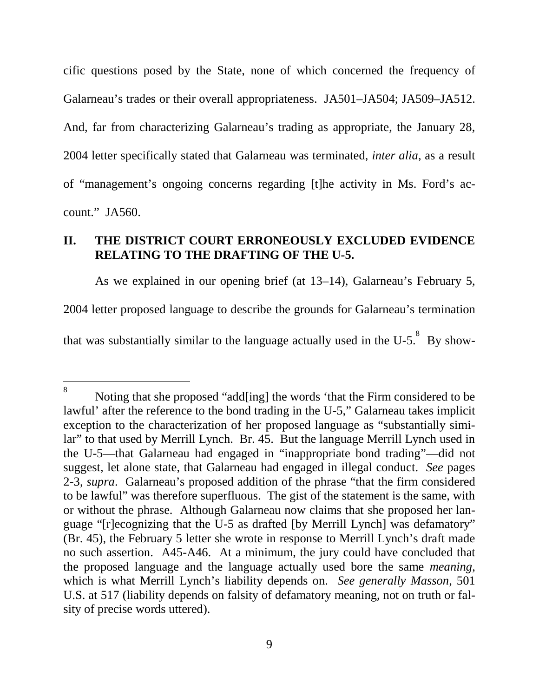cific questions posed by the State, none of which concerned the frequency of Galarneau's trades or their overall appropriateness. JA501–JA504; JA509–JA512. And, far from characterizing Galarneau's trading as appropriate, the January 28, 2004 letter specifically stated that Galarneau was terminated, *inter alia*, as a result of "management's ongoing concerns regarding [t]he activity in Ms. Ford's account." JA560.

## <span id="page-13-0"></span>**II. THE DISTRICT COURT ERRONEOUSLY EXCLUDED EVIDENCE RELATING TO THE DRAFTING OF THE U-5.**

<span id="page-13-2"></span>As we explained in our opening brief (at 13–14), Galarneau's February 5, 2004 letter proposed language to describe the grounds for Galarneau's termination thatwas substantially similar to the language actually used in the U-5[.](#page-13-1) $^8$  By show-

<span id="page-13-1"></span><sup>8</sup> Noting that she proposed "add[ing] the words 'that the Firm considered to be lawful' after the reference to the bond trading in the U-5," Galarneau takes implicit exception to the characterization of her proposed language as "substantially similar" to that used by Merrill Lynch. Br. 45. But the language Merrill Lynch used in the U-5—that Galarneau had engaged in "inappropriate bond trading"—did not suggest, let alone state, that Galarneau had engaged in illegal conduct. *See* pages 2-3, *supra*. Galarneau's proposed addition of the phrase "that the firm considered to be lawful" was therefore superfluous. The gist of the statement is the same, with or without the phrase. Although Galarneau now claims that she proposed her language "[r]ecognizing that the U-5 as drafted [by Merrill Lynch] was defamatory" (Br. 45), the February 5 letter she wrote in response to Merrill Lynch's draft made no such assertion. A45-A46. At a minimum, the jury could have concluded that the proposed language and the language actually used bore the same *meaning*, which is what Merrill Lynch's liability depends on. *See generally Masson*, 501 U.S. at 517 (liability depends on falsity of defamatory meaning, not on truth or falsity of precise words uttered).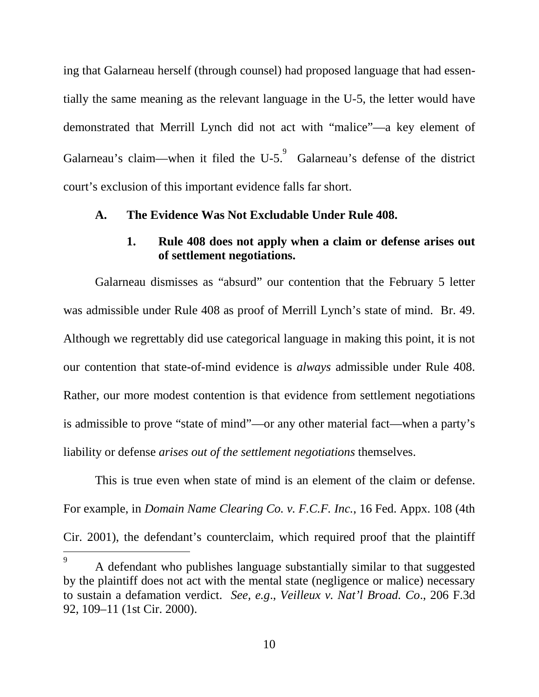ing that Galarneau herself (through counsel) had proposed language that had essentially the same meaning as the relevant language in the U-5, the letter would have demonstrated that Merrill Lynch did not act with "malice"—a key element of Galarneau'sclaim—when it filed the U-5[.](#page-14-2) $\degree$  Galarneau's defense of the district court's exclusion of this important evidence falls far short.

#### <span id="page-14-0"></span>**A. The Evidence Was Not Excludable Under Rule 408.**

### <span id="page-14-1"></span>**1. Rule 408 does not apply when a claim or defense arises out of settlement negotiations.**

Galarneau dismisses as "absurd" our contention that the February 5 letter was admissible under Rule 408 as proof of Merrill Lynch's state of mind. Br. 49. Although we regrettably did use categorical language in making this point, it is not our contention that state-of-mind evidence is *always* admissible under Rule 408. Rather, our more modest contention is that evidence from settlement negotiations is admissible to prove "state of mind"—or any other material fact—when a party's liability or defense *arises out of the settlement negotiations* themselves.

This is true even when state of mind is an element of the claim or defense. For example, in *Domain Name Clearing Co. v. F.C.F. Inc.*, 16 Fed. Appx. 108 (4th Cir. 2001), the defendant's counterclaim, which required proof that the plaintiff

<span id="page-14-2"></span><sup>9</sup> A defendant who publishes language substantially similar to that suggested by the plaintiff does not act with the mental state (negligence or malice) necessary to sustain a defamation verdict. *See, e.g*., *Veilleux v. Nat'l Broad. Co*., 206 F.3d 92, 109–11 (1st Cir. 2000).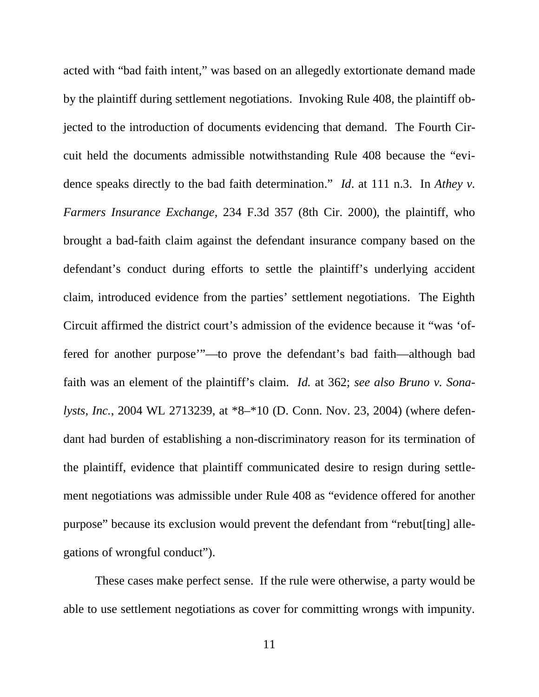acted with "bad faith intent," was based on an allegedly extortionate demand made by the plaintiff during settlement negotiations. Invoking Rule 408, the plaintiff objected to the introduction of documents evidencing that demand. The Fourth Circuit held the documents admissible notwithstanding Rule 408 because the "evidence speaks directly to the bad faith determination." *Id*. at 111 n.3. In *Athey v. Farmers Insurance Exchange*, 234 F.3d 357 (8th Cir. 2000), the plaintiff, who brought a bad-faith claim against the defendant insurance company based on the defendant's conduct during efforts to settle the plaintiff's underlying accident claim, introduced evidence from the parties' settlement negotiations. The Eighth Circuit affirmed the district court's admission of the evidence because it "was 'offered for another purpose'"—to prove the defendant's bad faith—although bad faith was an element of the plaintiff's claim. *Id.* at 362; *see also Bruno v. Sonalysts, Inc.*, 2004 WL 2713239, at \*8–\*10 (D. Conn. Nov. 23, 2004) (where defendant had burden of establishing a non-discriminatory reason for its termination of the plaintiff, evidence that plaintiff communicated desire to resign during settlement negotiations was admissible under Rule 408 as "evidence offered for another purpose" because its exclusion would prevent the defendant from "rebut[ting] allegations of wrongful conduct").

These cases make perfect sense. If the rule were otherwise, a party would be able to use settlement negotiations as cover for committing wrongs with impunity.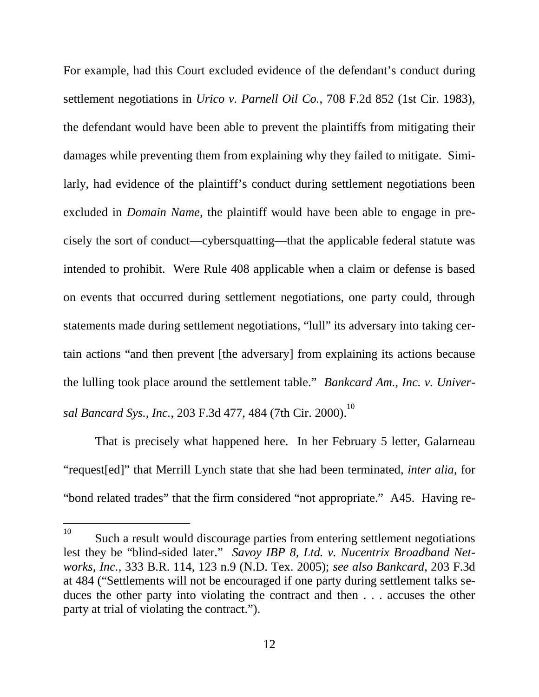For example, had this Court excluded evidence of the defendant's conduct during settlement negotiations in *Urico v. Parnell Oil Co.*, 708 F.2d 852 (1st Cir. 1983), the defendant would have been able to prevent the plaintiffs from mitigating their damages while preventing them from explaining why they failed to mitigate. Similarly, had evidence of the plaintiff's conduct during settlement negotiations been excluded in *Domain Name*, the plaintiff would have been able to engage in precisely the sort of conduct—cybersquatting—that the applicable federal statute was intended to prohibit. Were Rule 408 applicable when a claim or defense is based on events that occurred during settlement negotiations, one party could, through statements made during settlement negotiations, "lull" its adversary into taking certain actions "and then prevent [the adversary] from explaining its actions because the lulling took place around the settlement table." *Bankcard Am., Inc. v. Univer-*sal Bancard Sys., Inc., 203 F.3d 477, 484 (7th Cir. 2000).<sup>[10](#page-16-0)</sup>

That is precisely what happened here. In her February 5 letter, Galarneau "request[ed]" that Merrill Lynch state that she had been terminated, *inter alia*, for "bond related trades" that the firm considered "not appropriate." A45. Having re-

<span id="page-16-0"></span><sup>&</sup>lt;sup>10</sup> Such a result would discourage parties from entering settlement negotiations lest they be "blind-sided later." *Savoy IBP 8, Ltd. v. Nucentrix Broadband Networks, Inc.*, 333 B.R. 114, 123 n.9 (N.D. Tex. 2005); *see also Bankcard*, 203 F.3d at 484 ("Settlements will not be encouraged if one party during settlement talks seduces the other party into violating the contract and then . . . accuses the other party at trial of violating the contract.").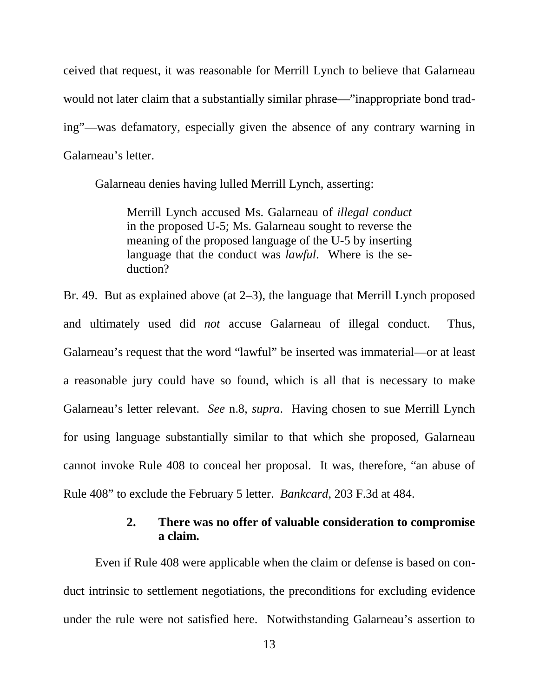ceived that request, it was reasonable for Merrill Lynch to believe that Galarneau would not later claim that a substantially similar phrase—"inappropriate bond trading"—was defamatory, especially given the absence of any contrary warning in Galarneau's letter.

Galarneau denies having lulled Merrill Lynch, asserting:

Merrill Lynch accused Ms. Galarneau of *illegal conduct* in the proposed U-5; Ms. Galarneau sought to reverse the meaning of the proposed language of the U-5 by inserting language that the conduct was *lawful*. Where is the seduction?

Br. 49. But as explained above (at 2–3), the language that Merrill Lynch proposed and ultimately used did *not* accuse Galarneau of illegal conduct. Thus, Galarneau's request that the word "lawful" be inserted was immaterial—or at least a reasonable jury could have so found, which is all that is necessary to make Galarneau's letter relevant. *See* n.[8,](#page-13-2) *supra*. Having chosen to sue Merrill Lynch for using language substantially similar to that which she proposed, Galarneau cannot invoke Rule 408 to conceal her proposal. It was, therefore, "an abuse of Rule 408" to exclude the February 5 letter. *Bankcard*, 203 F.3d at 484.

## <span id="page-17-0"></span>**2. There was no offer of valuable consideration to compromise a claim.**

Even if Rule 408 were applicable when the claim or defense is based on conduct intrinsic to settlement negotiations, the preconditions for excluding evidence under the rule were not satisfied here. Notwithstanding Galarneau's assertion to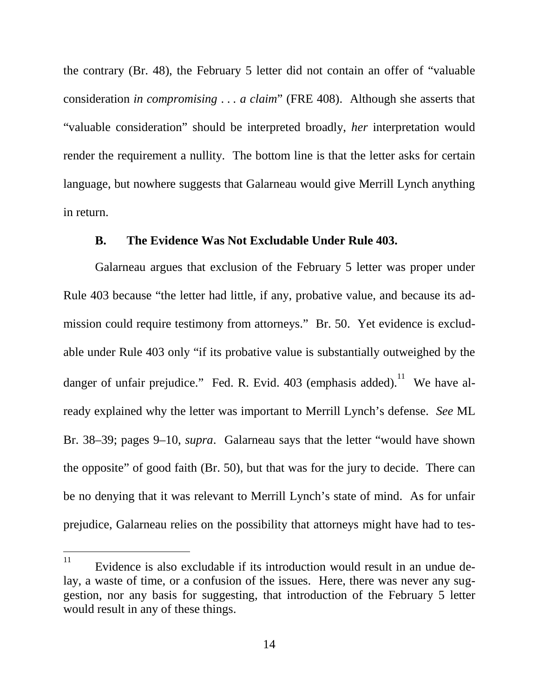the contrary (Br. 48), the February 5 letter did not contain an offer of "valuable consideration *in compromising* . . *. a claim*" (FRE 408). Although she asserts that "valuable consideration" should be interpreted broadly, *her* interpretation would render the requirement a nullity. The bottom line is that the letter asks for certain language, but nowhere suggests that Galarneau would give Merrill Lynch anything in return.

#### <span id="page-18-0"></span>**B. The Evidence Was Not Excludable Under Rule 403.**

Galarneau argues that exclusion of the February 5 letter was proper under Rule 403 because "the letter had little, if any, probative value, and because its admission could require testimony from attorneys." Br. 50. Yet evidence is excludable under Rule 403 only "if its probative value is substantially outweighed by the danger of unfair prejudice." Fed. R. Evid.  $403$  (emphasis added).<sup>[11](#page-18-1)</sup> We have already explained why the letter was important to Merrill Lynch's defense. *See* ML Br. 38–39; pages 9–10, *supra*. Galarneau says that the letter "would have shown the opposite" of good faith (Br. 50), but that was for the jury to decide. There can be no denying that it was relevant to Merrill Lynch's state of mind. As for unfair prejudice, Galarneau relies on the possibility that attorneys might have had to tes-

<span id="page-18-1"></span> $11$  Evidence is also excludable if its introduction would result in an undue delay, a waste of time, or a confusion of the issues. Here, there was never any suggestion, nor any basis for suggesting, that introduction of the February 5 letter would result in any of these things.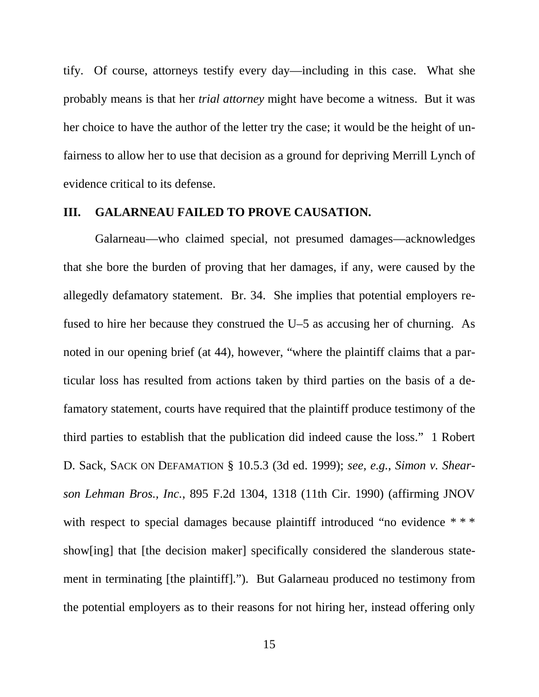tify. Of course, attorneys testify every day—including in this case. What she probably means is that her *trial attorney* might have become a witness. But it was her choice to have the author of the letter try the case; it would be the height of unfairness to allow her to use that decision as a ground for depriving Merrill Lynch of evidence critical to its defense.

#### <span id="page-19-0"></span>**III. GALARNEAU FAILED TO PROVE CAUSATION.**

Galarneau—who claimed special, not presumed damages—acknowledges that she bore the burden of proving that her damages, if any, were caused by the allegedly defamatory statement. Br. 34. She implies that potential employers refused to hire her because they construed the U–5 as accusing her of churning. As noted in our opening brief (at 44), however, "where the plaintiff claims that a particular loss has resulted from actions taken by third parties on the basis of a defamatory statement, courts have required that the plaintiff produce testimony of the third parties to establish that the publication did indeed cause the loss." 1 Robert D. Sack, SACK ON DEFAMATION § 10.5.3 (3d ed. 1999); *see, e.g.*, *Simon v. Shearson Lehman Bros., Inc.*, 895 F.2d 1304, 1318 (11th Cir. 1990) (affirming JNOV with respect to special damages because plaintiff introduced "no evidence \* \* \* show[ing] that [the decision maker] specifically considered the slanderous statement in terminating [the plaintiff]."). But Galarneau produced no testimony from the potential employers as to their reasons for not hiring her, instead offering only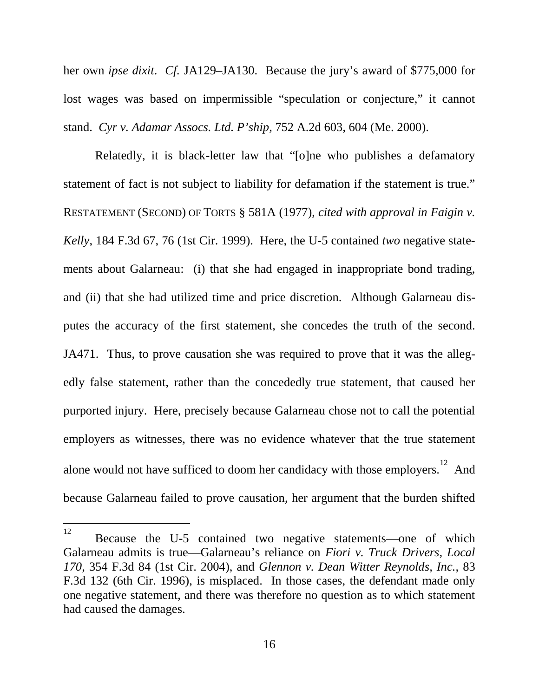her own *ipse dixit*. *Cf.* JA129–JA130. Because the jury's award of \$775,000 for lost wages was based on impermissible "speculation or conjecture," it cannot stand. *Cyr v. Adamar Assocs. Ltd. P'ship*, 752 A.2d 603, 604 (Me. 2000).

Relatedly, it is black-letter law that "[o]ne who publishes a defamatory statement of fact is not subject to liability for defamation if the statement is true." RESTATEMENT (SECOND) OF TORTS § 581A (1977), *cited with approval in Faigin v. Kelly*, 184 F.3d 67, 76 (1st Cir. 1999). Here, the U-5 contained *two* negative statements about Galarneau: (i) that she had engaged in inappropriate bond trading, and (ii) that she had utilized time and price discretion. Although Galarneau disputes the accuracy of the first statement, she concedes the truth of the second. JA471. Thus, to prove causation she was required to prove that it was the allegedly false statement, rather than the concededly true statement, that caused her purported injury. Here, precisely because Galarneau chose not to call the potential employers as witnesses, there was no evidence whatever that the true statement alone would not have sufficed to doom her candidacy with those employers.<sup>[12](#page-20-0)</sup> And because Galarneau failed to prove causation, her argument that the burden shifted

<span id="page-20-0"></span><sup>12</sup> Because the U-5 contained two negative statements—one of which Galarneau admits is true—Galarneau's reliance on *Fiori v. Truck Drivers, Local 170*, 354 F.3d 84 (1st Cir. 2004), and *Glennon v. Dean Witter Reynolds, Inc.*, 83 F.3d 132 (6th Cir. 1996), is misplaced. In those cases, the defendant made only one negative statement, and there was therefore no question as to which statement had caused the damages.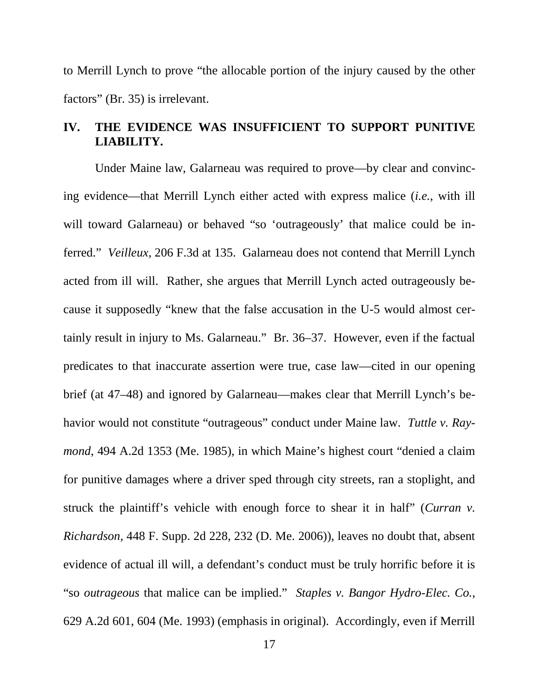to Merrill Lynch to prove "the allocable portion of the injury caused by the other factors" (Br. 35) is irrelevant.

### <span id="page-21-0"></span>**IV. THE EVIDENCE WAS INSUFFICIENT TO SUPPORT PUNITIVE LIABILITY.**

Under Maine law, Galarneau was required to prove—by clear and convincing evidence—that Merrill Lynch either acted with express malice (*i.e.*, with ill will toward Galarneau) or behaved "so 'outrageously' that malice could be inferred." *Veilleux*, 206 F.3d at 135. Galarneau does not contend that Merrill Lynch acted from ill will. Rather, she argues that Merrill Lynch acted outrageously because it supposedly "knew that the false accusation in the U-5 would almost certainly result in injury to Ms. Galarneau." Br. 36–37. However, even if the factual predicates to that inaccurate assertion were true, case law—cited in our opening brief (at 47–48) and ignored by Galarneau—makes clear that Merrill Lynch's behavior would not constitute "outrageous" conduct under Maine law. *Tuttle v. Raymond*, 494 A.2d 1353 (Me. 1985), in which Maine's highest court "denied a claim for punitive damages where a driver sped through city streets, ran a stoplight, and struck the plaintiff's vehicle with enough force to shear it in half" (*Curran v. Richardson*, 448 F. Supp. 2d 228, 232 (D. Me. 2006)), leaves no doubt that, absent evidence of actual ill will, a defendant's conduct must be truly horrific before it is "so *outrageous* that malice can be implied." *Staples v. Bangor Hydro-Elec. Co.*, 629 A.2d 601, 604 (Me. 1993) (emphasis in original). Accordingly, even if Merrill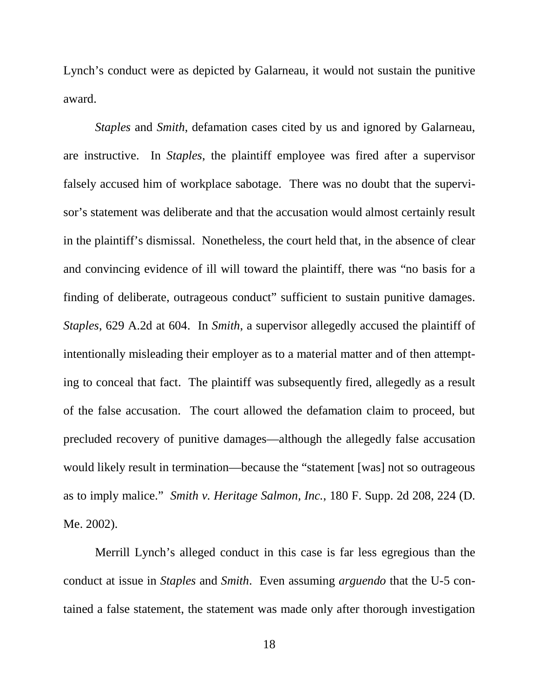Lynch's conduct were as depicted by Galarneau, it would not sustain the punitive award.

*Staples* and *Smith*, defamation cases cited by us and ignored by Galarneau, are instructive. In *Staples*, the plaintiff employee was fired after a supervisor falsely accused him of workplace sabotage. There was no doubt that the supervisor's statement was deliberate and that the accusation would almost certainly result in the plaintiff's dismissal. Nonetheless, the court held that, in the absence of clear and convincing evidence of ill will toward the plaintiff, there was "no basis for a finding of deliberate, outrageous conduct" sufficient to sustain punitive damages. *Staples*, 629 A.2d at 604. In *Smith*, a supervisor allegedly accused the plaintiff of intentionally misleading their employer as to a material matter and of then attempting to conceal that fact. The plaintiff was subsequently fired, allegedly as a result of the false accusation. The court allowed the defamation claim to proceed, but precluded recovery of punitive damages—although the allegedly false accusation would likely result in termination—because the "statement [was] not so outrageous as to imply malice." *Smith v. Heritage Salmon, Inc.*, 180 F. Supp. 2d 208, 224 (D. Me. 2002).

Merrill Lynch's alleged conduct in this case is far less egregious than the conduct at issue in *Staples* and *Smith*. Even assuming *arguendo* that the U-5 contained a false statement, the statement was made only after thorough investigation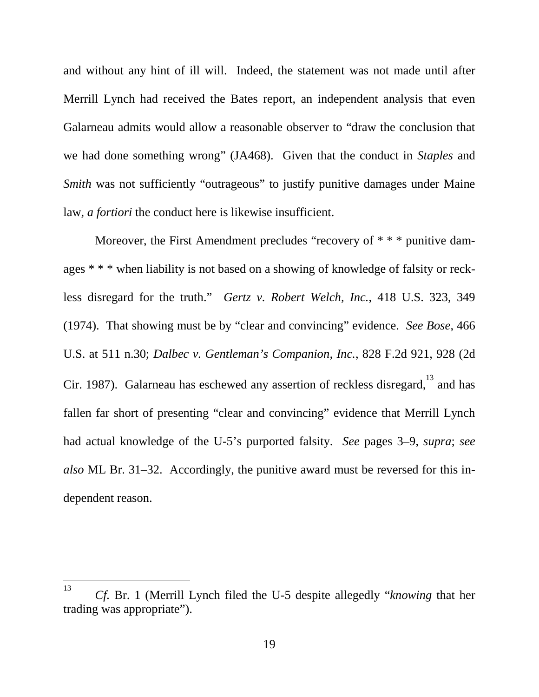and without any hint of ill will. Indeed, the statement was not made until after Merrill Lynch had received the Bates report, an independent analysis that even Galarneau admits would allow a reasonable observer to "draw the conclusion that we had done something wrong" (JA468). Given that the conduct in *Staples* and *Smith* was not sufficiently "outrageous" to justify punitive damages under Maine law, *a fortiori* the conduct here is likewise insufficient.

Moreover, the First Amendment precludes "recovery of \* \* \* punitive damages \* \* \* when liability is not based on a showing of knowledge of falsity or reckless disregard for the truth." *Gertz v. Robert Welch, Inc.*, 418 U.S. 323, 349 (1974). That showing must be by "clear and convincing" evidence. *See Bose*, 466 U.S. at 511 n.30; *Dalbec v. Gentleman's Companion, Inc.*, 828 F.2d 921, 928 (2d Cir. 1987). Galarneau has eschewed any assertion of reckless disregard, $13$  and has fallen far short of presenting "clear and convincing" evidence that Merrill Lynch had actual knowledge of the U-5's purported falsity. *See* pages 3–9, *supra*; *see also* ML Br. 31–32. Accordingly, the punitive award must be reversed for this independent reason.

<span id="page-23-0"></span><sup>13</sup> *Cf.* Br. 1 (Merrill Lynch filed the U-5 despite allegedly "*knowing* that her trading was appropriate").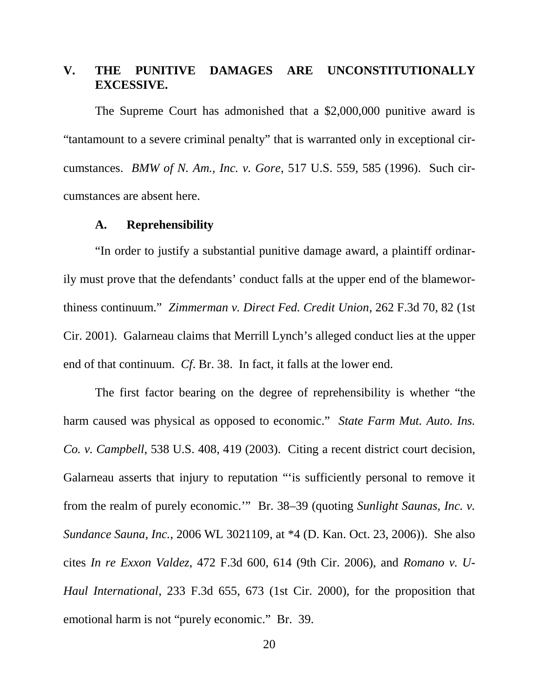### <span id="page-24-0"></span>**V. THE PUNITIVE DAMAGES ARE UNCONSTITUTIONALLY EXCESSIVE.**

The Supreme Court has admonished that a \$2,000,000 punitive award is "tantamount to a severe criminal penalty" that is warranted only in exceptional circumstances. *BMW of N. Am., Inc. v. Gore*, 517 U.S. 559, 585 (1996). Such circumstances are absent here.

#### <span id="page-24-1"></span>**A. Reprehensibility**

"In order to justify a substantial punitive damage award, a plaintiff ordinarily must prove that the defendants' conduct falls at the upper end of the blameworthiness continuum." *Zimmerman v. Direct Fed. Credit Union*, 262 F.3d 70, 82 (1st Cir. 2001). Galarneau claims that Merrill Lynch's alleged conduct lies at the upper end of that continuum. *Cf*. Br. 38. In fact, it falls at the lower end.

The first factor bearing on the degree of reprehensibility is whether "the harm caused was physical as opposed to economic." *State Farm Mut. Auto. Ins. Co. v. Campbell*, 538 U.S. 408, 419 (2003). Citing a recent district court decision, Galarneau asserts that injury to reputation "'is sufficiently personal to remove it from the realm of purely economic.'" Br. 38–39 (quoting *Sunlight Saunas, Inc. v. Sundance Sauna, Inc.*, 2006 WL 3021109, at \*4 (D. Kan. Oct. 23, 2006)). She also cites *In re Exxon Valdez*, 472 F.3d 600, 614 (9th Cir. 2006), and *Romano v. U-Haul International*, 233 F.3d 655, 673 (1st Cir. 2000), for the proposition that emotional harm is not "purely economic." Br. 39.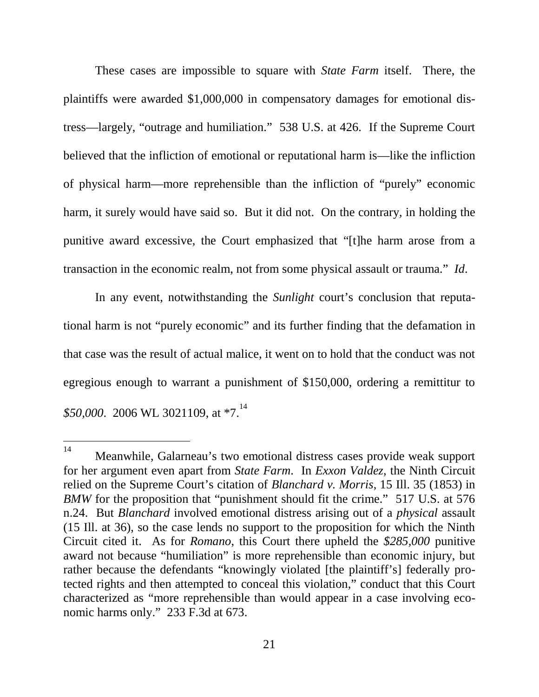These cases are impossible to square with *State Farm* itself. There, the plaintiffs were awarded \$1,000,000 in compensatory damages for emotional distress—largely, "outrage and humiliation." 538 U.S. at 426. If the Supreme Court believed that the infliction of emotional or reputational harm is—like the infliction of physical harm—more reprehensible than the infliction of "purely" economic harm, it surely would have said so. But it did not. On the contrary, in holding the punitive award excessive, the Court emphasized that "[t]he harm arose from a transaction in the economic realm, not from some physical assault or trauma." *Id*.

In any event, notwithstanding the *Sunlight* court's conclusion that reputational harm is not "purely economic" and its further finding that the defamation in that case was the result of actual malice, it went on to hold that the conduct was not egregious enough to warrant a punishment of \$150,000, ordering a remittitur to *\$50,000*.2006 WL 3021109, at  $*7$ .<sup>14</sup>

<span id="page-25-0"></span><sup>14</sup> Meanwhile, Galarneau's two emotional distress cases provide weak support for her argument even apart from *State Farm*. In *Exxon Valdez*, the Ninth Circuit relied on the Supreme Court's citation of *Blanchard v. Morris*, 15 Ill. 35 (1853) in *BMW* for the proposition that "punishment should fit the crime." 517 U.S. at 576 n.24. But *Blanchard* involved emotional distress arising out of a *physical* assault (15 Ill. at 36), so the case lends no support to the proposition for which the Ninth Circuit cited it. As for *Romano*, this Court there upheld the *\$285,000* punitive award not because "humiliation" is more reprehensible than economic injury, but rather because the defendants "knowingly violated [the plaintiff's] federally protected rights and then attempted to conceal this violation," conduct that this Court characterized as "more reprehensible than would appear in a case involving economic harms only." 233 F.3d at 673.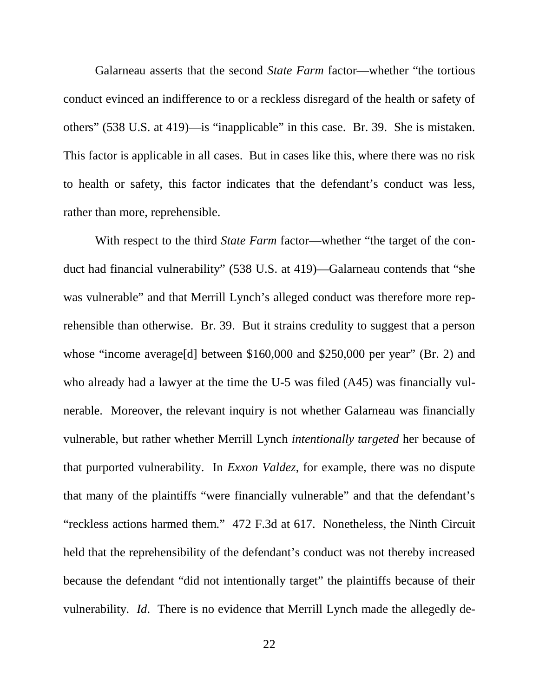Galarneau asserts that the second *State Farm* factor—whether "the tortious conduct evinced an indifference to or a reckless disregard of the health or safety of others" (538 U.S. at 419)—is "inapplicable" in this case. Br. 39. She is mistaken. This factor is applicable in all cases. But in cases like this, where there was no risk to health or safety, this factor indicates that the defendant's conduct was less, rather than more, reprehensible.

With respect to the third *State Farm* factor—whether "the target of the conduct had financial vulnerability" (538 U.S. at 419)—Galarneau contends that "she was vulnerable" and that Merrill Lynch's alleged conduct was therefore more reprehensible than otherwise. Br. 39. But it strains credulity to suggest that a person whose "income average[d] between \$160,000 and \$250,000 per year" (Br. 2) and who already had a lawyer at the time the U-5 was filed (A45) was financially vulnerable. Moreover, the relevant inquiry is not whether Galarneau was financially vulnerable, but rather whether Merrill Lynch *intentionally targeted* her because of that purported vulnerability. In *Exxon Valdez*, for example, there was no dispute that many of the plaintiffs "were financially vulnerable" and that the defendant's "reckless actions harmed them." 472 F.3d at 617. Nonetheless, the Ninth Circuit held that the reprehensibility of the defendant's conduct was not thereby increased because the defendant "did not intentionally target" the plaintiffs because of their vulnerability. *Id*. There is no evidence that Merrill Lynch made the allegedly de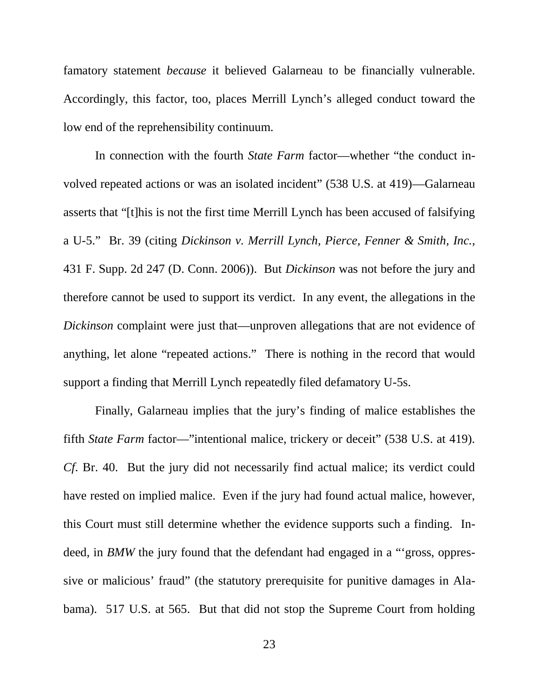famatory statement *because* it believed Galarneau to be financially vulnerable. Accordingly, this factor, too, places Merrill Lynch's alleged conduct toward the low end of the reprehensibility continuum.

In connection with the fourth *State Farm* factor—whether "the conduct involved repeated actions or was an isolated incident" (538 U.S. at 419)—Galarneau asserts that "[t]his is not the first time Merrill Lynch has been accused of falsifying a U-5." Br. 39 (citing *Dickinson v. Merrill Lynch, Pierce, Fenner & Smith, Inc.*, 431 F. Supp. 2d 247 (D. Conn. 2006)). But *Dickinson* was not before the jury and therefore cannot be used to support its verdict. In any event, the allegations in the *Dickinson* complaint were just that—unproven allegations that are not evidence of anything, let alone "repeated actions." There is nothing in the record that would support a finding that Merrill Lynch repeatedly filed defamatory U-5s.

Finally, Galarneau implies that the jury's finding of malice establishes the fifth *State Farm* factor—"intentional malice, trickery or deceit" (538 U.S. at 419). *Cf*. Br. 40. But the jury did not necessarily find actual malice; its verdict could have rested on implied malice. Even if the jury had found actual malice, however, this Court must still determine whether the evidence supports such a finding. Indeed, in *BMW* the jury found that the defendant had engaged in a "gross, oppressive or malicious' fraud" (the statutory prerequisite for punitive damages in Alabama). 517 U.S. at 565. But that did not stop the Supreme Court from holding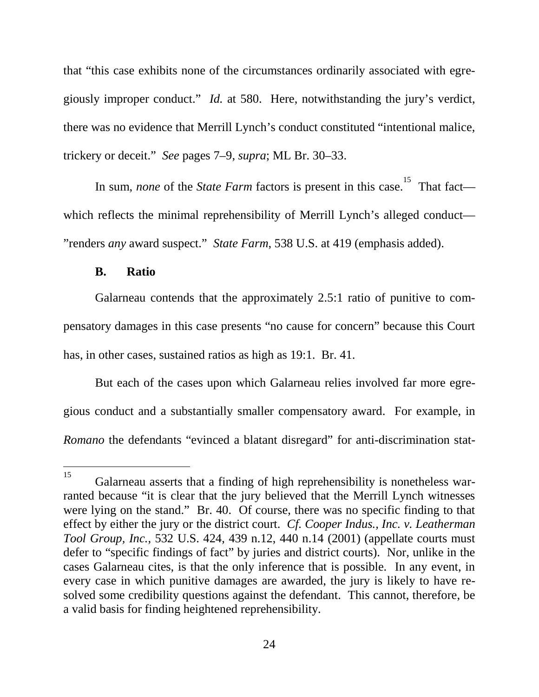that "this case exhibits none of the circumstances ordinarily associated with egregiously improper conduct." *Id.* at 580. Here, notwithstanding the jury's verdict, there was no evidence that Merrill Lynch's conduct constituted "intentional malice, trickery or deceit." *See* pages 7–9, *supra*; ML Br. 30–33.

Insum, *none* of the *State Farm* factors is present in this case[.](#page-28-1)<sup>15</sup> That fact which reflects the minimal reprehensibility of Merrill Lynch's alleged conduct— "renders *any* award suspect." *State Farm*, 538 U.S. at 419 (emphasis added).

#### <span id="page-28-0"></span>**B. Ratio**

Galarneau contends that the approximately 2.5:1 ratio of punitive to compensatory damages in this case presents "no cause for concern" because this Court has, in other cases, sustained ratios as high as 19:1. Br. 41.

But each of the cases upon which Galarneau relies involved far more egregious conduct and a substantially smaller compensatory award. For example, in *Romano* the defendants "evinced a blatant disregard" for anti-discrimination stat-

<span id="page-28-1"></span> $15$  Galarneau asserts that a finding of high reprehensibility is nonetheless warranted because "it is clear that the jury believed that the Merrill Lynch witnesses were lying on the stand." Br. 40. Of course, there was no specific finding to that effect by either the jury or the district court. *Cf. Cooper Indus., Inc. v. Leatherman Tool Group, Inc.*, 532 U.S. 424, 439 n.12, 440 n.14 (2001) (appellate courts must defer to "specific findings of fact" by juries and district courts). Nor, unlike in the cases Galarneau cites, is that the only inference that is possible. In any event, in every case in which punitive damages are awarded, the jury is likely to have resolved some credibility questions against the defendant. This cannot, therefore, be a valid basis for finding heightened reprehensibility.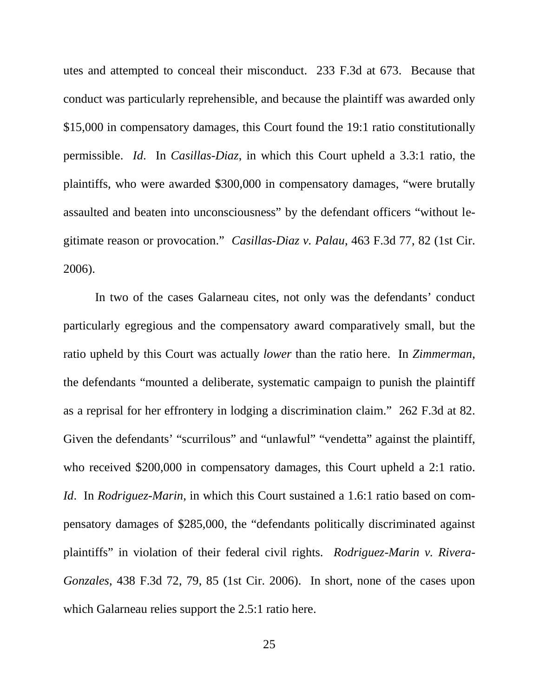utes and attempted to conceal their misconduct. 233 F.3d at 673. Because that conduct was particularly reprehensible, and because the plaintiff was awarded only \$15,000 in compensatory damages, this Court found the 19:1 ratio constitutionally permissible. *Id*. In *Casillas-Diaz*, in which this Court upheld a 3.3:1 ratio, the plaintiffs, who were awarded \$300,000 in compensatory damages, "were brutally assaulted and beaten into unconsciousness" by the defendant officers "without legitimate reason or provocation." *Casillas-Diaz v. Palau*, 463 F.3d 77, 82 (1st Cir. 2006).

In two of the cases Galarneau cites, not only was the defendants' conduct particularly egregious and the compensatory award comparatively small, but the ratio upheld by this Court was actually *lower* than the ratio here. In *Zimmerman*, the defendants "mounted a deliberate, systematic campaign to punish the plaintiff as a reprisal for her effrontery in lodging a discrimination claim." 262 F.3d at 82. Given the defendants' "scurrilous" and "unlawful" "vendetta" against the plaintiff, who received \$200,000 in compensatory damages, this Court upheld a 2:1 ratio. *Id*. In *Rodriguez-Marin*, in which this Court sustained a 1.6:1 ratio based on compensatory damages of \$285,000, the "defendants politically discriminated against plaintiffs" in violation of their federal civil rights. *Rodriguez-Marin v. Rivera-Gonzales*, 438 F.3d 72, 79, 85 (1st Cir. 2006). In short, none of the cases upon which Galarneau relies support the 2.5:1 ratio here.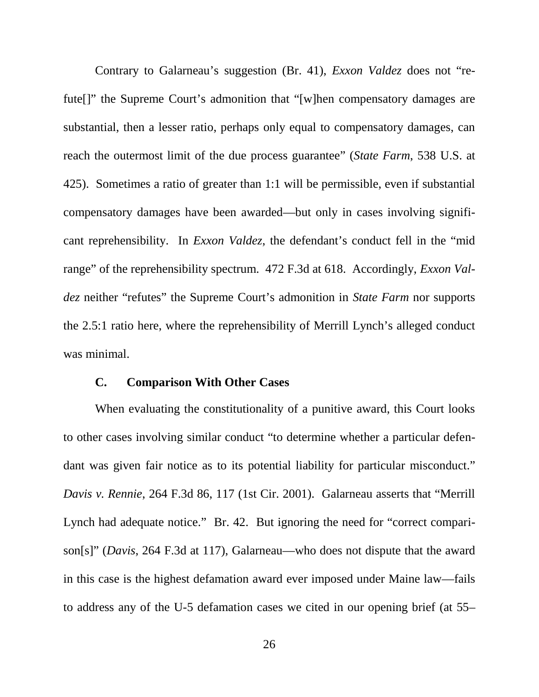Contrary to Galarneau's suggestion (Br. 41), *Exxon Valdez* does not "refute<sup>[]"</sup> the Supreme Court's admonition that "[w]hen compensatory damages are substantial, then a lesser ratio, perhaps only equal to compensatory damages, can reach the outermost limit of the due process guarantee" (*State Farm*, 538 U.S. at 425). Sometimes a ratio of greater than 1:1 will be permissible, even if substantial compensatory damages have been awarded—but only in cases involving significant reprehensibility. In *Exxon Valdez*, the defendant's conduct fell in the "mid range" of the reprehensibility spectrum. 472 F.3d at 618. Accordingly, *Exxon Valdez* neither "refutes" the Supreme Court's admonition in *State Farm* nor supports the 2.5:1 ratio here, where the reprehensibility of Merrill Lynch's alleged conduct was minimal.

#### <span id="page-30-0"></span>**C. Comparison With Other Cases**

When evaluating the constitutionality of a punitive award, this Court looks to other cases involving similar conduct "to determine whether a particular defendant was given fair notice as to its potential liability for particular misconduct." *Davis v. Rennie*, 264 F.3d 86, 117 (1st Cir. 2001). Galarneau asserts that "Merrill Lynch had adequate notice." Br. 42. But ignoring the need for "correct comparison[s]" (*Davis*, 264 F.3d at 117), Galarneau—who does not dispute that the award in this case is the highest defamation award ever imposed under Maine law—fails to address any of the U-5 defamation cases we cited in our opening brief (at 55–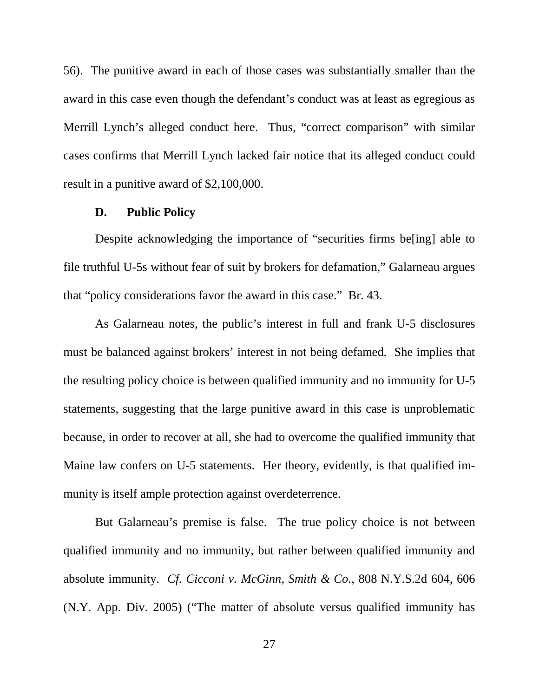56). The punitive award in each of those cases was substantially smaller than the award in this case even though the defendant's conduct was at least as egregious as Merrill Lynch's alleged conduct here. Thus, "correct comparison" with similar cases confirms that Merrill Lynch lacked fair notice that its alleged conduct could result in a punitive award of \$2,100,000.

#### <span id="page-31-0"></span>**D. Public Policy**

Despite acknowledging the importance of "securities firms be[ing] able to file truthful U-5s without fear of suit by brokers for defamation," Galarneau argues that "policy considerations favor the award in this case." Br. 43.

As Galarneau notes, the public's interest in full and frank U-5 disclosures must be balanced against brokers' interest in not being defamed. She implies that the resulting policy choice is between qualified immunity and no immunity for U-5 statements, suggesting that the large punitive award in this case is unproblematic because, in order to recover at all, she had to overcome the qualified immunity that Maine law confers on U-5 statements. Her theory, evidently, is that qualified immunity is itself ample protection against overdeterrence.

But Galarneau's premise is false. The true policy choice is not between qualified immunity and no immunity, but rather between qualified immunity and absolute immunity. *Cf. Cicconi v. McGinn, Smith & Co.*, 808 N.Y.S.2d 604, 606 (N.Y. App. Div. 2005) ("The matter of absolute versus qualified immunity has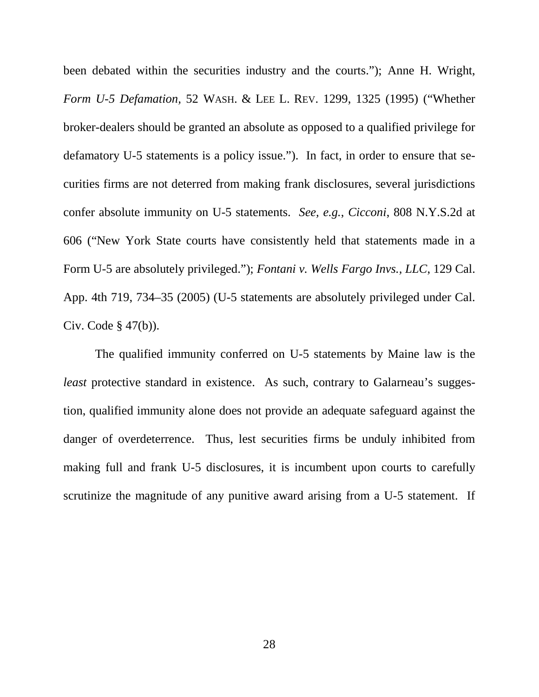been debated within the securities industry and the courts."); Anne H. Wright, *Form U-5 Defamation,* 52 WASH. & LEE L. REV. 1299, 1325 (1995) ("Whether broker-dealers should be granted an absolute as opposed to a qualified privilege for defamatory U-5 statements is a policy issue."). In fact, in order to ensure that securities firms are not deterred from making frank disclosures, several jurisdictions confer absolute immunity on U-5 statements. *See, e.g.*, *Cicconi*, 808 N.Y.S.2d at 606 ("New York State courts have consistently held that statements made in a Form U-5 are absolutely privileged."); *Fontani v. Wells Fargo Invs., LLC*, 129 Cal. App. 4th 719, 734–35 (2005) (U-5 statements are absolutely privileged under Cal. Civ. Code § 47(b)).

The qualified immunity conferred on U-5 statements by Maine law is the *least* protective standard in existence. As such, contrary to Galarneau's suggestion, qualified immunity alone does not provide an adequate safeguard against the danger of overdeterrence. Thus, lest securities firms be unduly inhibited from making full and frank U-5 disclosures, it is incumbent upon courts to carefully scrutinize the magnitude of any punitive award arising from a U-5 statement. If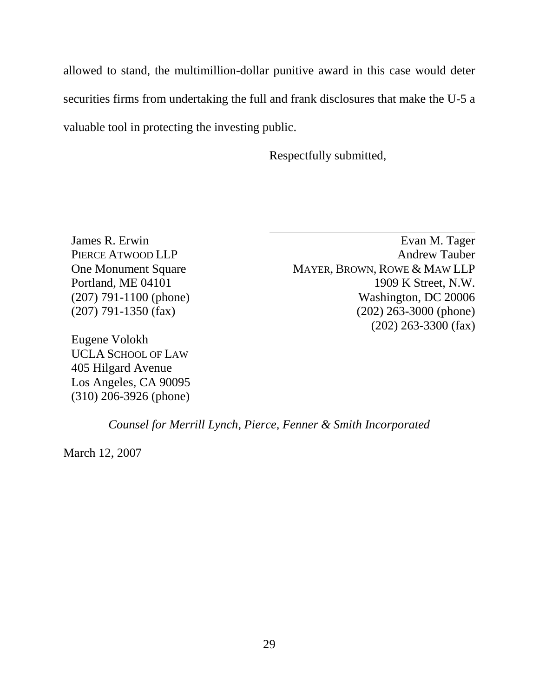allowed to stand, the multimillion-dollar punitive award in this case would deter securities firms from undertaking the full and frank disclosures that make the U-5 a valuable tool in protecting the investing public.

Respectfully submitted,

James R. Erwin PIERCE ATWOOD LLP One Monument Square Portland, ME 04101 (207) 791-1100 (phone) (207) 791-1350 (fax)

Eugene Volokh UCLA SCHOOL OF LAW 405 Hilgard Avenue Los Angeles, CA 90095 (310) 206-3926 (phone)

Evan M. Tager Andrew Tauber MAYER, BROWN, ROWE & MAW LLP 1909 K Street, N.W. Washington, DC 20006 (202) 263-3000 (phone) (202) 263-3300 (fax)

*Counsel for Merrill Lynch, Pierce, Fenner & Smith Incorporated*

March 12, 2007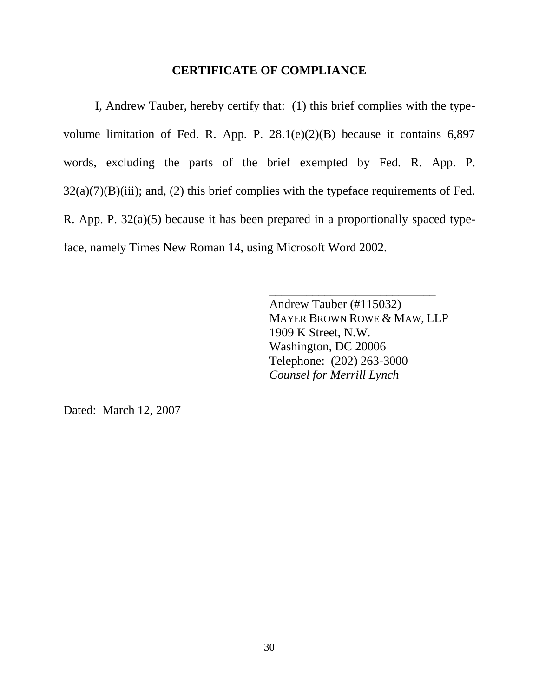#### <span id="page-34-0"></span>**CERTIFICATE OF COMPLIANCE**

I, Andrew Tauber, hereby certify that: (1) this brief complies with the typevolume limitation of Fed. R. App. P. 28.1(e)(2)(B) because it contains 6,897 words, excluding the parts of the brief exempted by Fed. R. App. P.  $32(a)(7)(B)(iii)$ ; and, (2) this brief complies with the typeface requirements of Fed. R. App. P. 32(a)(5) because it has been prepared in a proportionally spaced typeface, namely Times New Roman 14, using Microsoft Word 2002.

> Andrew Tauber (#115032) MAYER BROWN ROWE & MAW, LLP 1909 K Street, N.W. Washington, DC 20006 Telephone: (202) 263-3000 *Counsel for Merrill Lynch*

\_\_\_\_\_\_\_\_\_\_\_\_\_\_\_\_\_\_\_\_\_\_\_\_\_\_\_

Dated: March 12, 2007